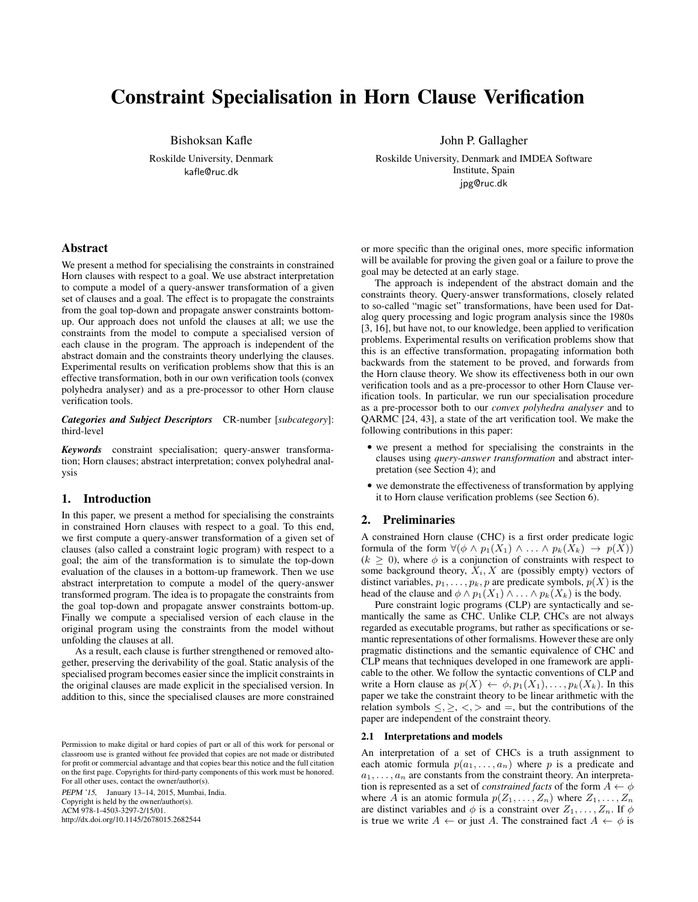# Constraint Specialisation in Horn Clause Verification

Bishoksan Kafle

Roskilde University, Denmark kafle@ruc.dk

John P. Gallagher

Roskilde University, Denmark and IMDEA Software Institute, Spain jpg@ruc.dk

# Abstract

We present a method for specialising the constraints in constrained Horn clauses with respect to a goal. We use abstract interpretation to compute a model of a query-answer transformation of a given set of clauses and a goal. The effect is to propagate the constraints from the goal top-down and propagate answer constraints bottomup. Our approach does not unfold the clauses at all; we use the constraints from the model to compute a specialised version of each clause in the program. The approach is independent of the abstract domain and the constraints theory underlying the clauses. Experimental results on verification problems show that this is an effective transformation, both in our own verification tools (convex polyhedra analyser) and as a pre-processor to other Horn clause verification tools.

*Categories and Subject Descriptors* CR-number [*subcategory*]: third-level

*Keywords* constraint specialisation; query-answer transformation; Horn clauses; abstract interpretation; convex polyhedral analysis

# 1. Introduction

In this paper, we present a method for specialising the constraints in constrained Horn clauses with respect to a goal. To this end, we first compute a query-answer transformation of a given set of clauses (also called a constraint logic program) with respect to a goal; the aim of the transformation is to simulate the top-down evaluation of the clauses in a bottom-up framework. Then we use abstract interpretation to compute a model of the query-answer transformed program. The idea is to propagate the constraints from the goal top-down and propagate answer constraints bottom-up. Finally we compute a specialised version of each clause in the original program using the constraints from the model without unfolding the clauses at all.

As a result, each clause is further strengthened or removed altogether, preserving the derivability of the goal. Static analysis of the specialised program becomes easier since the implicit constraints in the original clauses are made explicit in the specialised version. In addition to this, since the specialised clauses are more constrained

PEPM '15, January 13–14, 2015, Mumbai, India. Copyright is held by the owner/author(s). ACM 978-1-4503-3297-2/15/01. http://dx.doi.org/10.1145/2678015.2682544

or more specific than the original ones, more specific information will be available for proving the given goal or a failure to prove the goal may be detected at an early stage.

The approach is independent of the abstract domain and the constraints theory. Query-answer transformations, closely related to so-called "magic set" transformations, have been used for Datalog query processing and logic program analysis since the 1980s [3, 16], but have not, to our knowledge, been applied to verification problems. Experimental results on verification problems show that this is an effective transformation, propagating information both backwards from the statement to be proved, and forwards from the Horn clause theory. We show its effectiveness both in our own verification tools and as a pre-processor to other Horn Clause verification tools. In particular, we run our specialisation procedure as a pre-processor both to our *convex polyhedra analyser* and to QARMC [24, 43], a state of the art verification tool. We make the following contributions in this paper:

- we present a method for specialising the constraints in the clauses using *query-answer transformation* and abstract interpretation (see Section 4); and
- we demonstrate the effectiveness of transformation by applying it to Horn clause verification problems (see Section 6).

# 2. Preliminaries

A constrained Horn clause (CHC) is a first order predicate logic formula of the form  $\forall (\phi \land p_1(X_1) \land \dots \land p_k(X_k) \rightarrow p(X))$  $(k > 0)$ , where  $\phi$  is a conjunction of constraints with respect to some background theory,  $X_i$ , X are (possibly empty) vectors of distinct variables,  $p_1, \ldots, p_k, p$  are predicate symbols,  $p(X)$  is the head of the clause and  $\phi \wedge p_1(X_1) \wedge \ldots \wedge p_k(X_k)$  is the body.

Pure constraint logic programs (CLP) are syntactically and semantically the same as CHC. Unlike CLP, CHCs are not always regarded as executable programs, but rather as specifications or semantic representations of other formalisms. However these are only pragmatic distinctions and the semantic equivalence of CHC and CLP means that techniques developed in one framework are applicable to the other. We follow the syntactic conventions of CLP and write a Horn clause as  $p(X) \leftarrow \phi, p_1(X_1), \ldots, p_k(X_k)$ . In this paper we take the constraint theory to be linear arithmetic with the relation symbols  $\leq, \geq, \lt, \gt$  and  $=$ , but the contributions of the paper are independent of the constraint theory.

#### 2.1 Interpretations and models

An interpretation of a set of CHCs is a truth assignment to each atomic formula  $p(a_1, \ldots, a_n)$  where p is a predicate and  $a_1, \ldots, a_n$  are constants from the constraint theory. An interpretation is represented as a set of *constrained facts* of the form  $A \leftarrow \phi$ where A is an atomic formula  $p(Z_1, \ldots, Z_n)$  where  $Z_1, \ldots, Z_n$ are distinct variables and  $\phi$  is a constraint over  $Z_1, \ldots, Z_n$ . If  $\phi$ is true we write  $A \leftarrow \text{or just } A$ . The constrained fact  $A \leftarrow \phi$  is

Permission to make digital or hard copies of part or all of this work for personal or classroom use is granted without fee provided that copies are not made or distributed for profit or commercial advantage and that copies bear this notice and the full citation on the first page. Copyrights for third-party components of this work must be honored. For all other uses, contact the owner/author(s).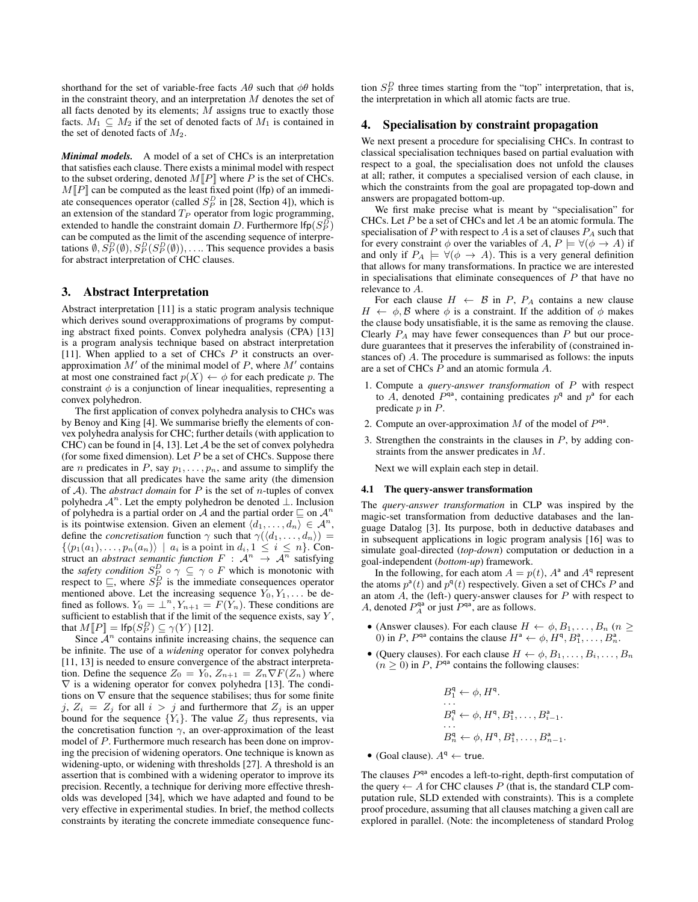shorthand for the set of variable-free facts  $A\theta$  such that  $\phi\theta$  holds in the constraint theory, and an interpretation  $M$  denotes the set of all facts denoted by its elements;  $M$  assigns true to exactly those facts.  $M_1 \subseteq M_2$  if the set of denoted facts of  $M_1$  is contained in the set of denoted facts of  $M_2$ .

*Minimal models.* A model of a set of CHCs is an interpretation that satisfies each clause. There exists a minimal model with respect to the subset ordering, denoted  $M[\![P]\!]$  where P is the set of CHCs.  $M[[P]]$  can be computed as the least fixed point (lfp) of an immediate consequences operator (called  $S_P^D$  in [28, Section 4]), which is an extension of the standard  $T_P$  operator from logic programming, extended to handle the constraint domain D. Furthermore  $\mathsf{Ifp}(S_P^D)$ can be computed as the limit of the ascending sequence of interpretations  $\emptyset$ ,  $S_P^D(\emptyset)$ ,  $S_P^D(S_P^D(\emptyset))$ ,.... This sequence provides a basis for abstract interpretation of CHC clauses.

## 3. Abstract Interpretation

Abstract interpretation [11] is a static program analysis technique which derives sound overapproximations of programs by computing abstract fixed points. Convex polyhedra analysis (CPA) [13] is a program analysis technique based on abstract interpretation [11]. When applied to a set of CHCs  $P$  it constructs an overapproximation  $\tilde{M}'$  of the minimal model of P, where  $M'$  contains at most one constrained fact  $p(X) \leftarrow \phi$  for each predicate p. The constraint  $\phi$  is a conjunction of linear inequalities, representing a convex polyhedron.

The first application of convex polyhedra analysis to CHCs was by Benoy and King [4]. We summarise briefly the elements of convex polyhedra analysis for CHC; further details (with application to CHC) can be found in [4, 13]. Let  $A$  be the set of convex polyhedra (for some fixed dimension). Let  $P$  be a set of CHCs. Suppose there are *n* predicates in *P*, say  $p_1, \ldots, p_n$ , and assume to simplify the discussion that all predicates have the same arity (the dimension of  $A$ ). The *abstract domain* for  $P$  is the set of *n*-tuples of convex polyhedra  $\mathcal{A}^n$ . Let the empty polyhedron be denoted  $\bot$ . Inclusion of polyhedra is a partial order on A and the partial order  $\sqsubseteq$  on  $\mathcal{A}^n$ is its pointwise extension. Given an element  $\langle d_1, \ldots, d_n \rangle \in \mathcal{A}^n$ , define the *concretisation* function  $\gamma$  such that  $\gamma(\langle d_1, \ldots, d_n \rangle)$  =  $\{\langle p_1(a_1), \ldots, p_n(a_n)\rangle \mid a_i \text{ is a point in } d_i, 1 \leq i \leq n\}.$  Construct an *abstract semantic function*  $F : A^n \rightarrow A^n$  satisfying the *safety condition*  $S_P^D \circ \gamma \subseteq \gamma \circ F$  which is monotonic with respect to  $\subseteq$ , where  $S_P^D$  is the immediate consequences operator mentioned above. Let the increasing sequence  $Y_0, Y_1, \ldots$  be defined as follows.  $Y_0 = \perp^n, Y_{n+1} = F(Y_n)$ . These conditions are sufficient to establish that if the limit of the sequence exists, say  $Y$ , that  $M[\![P]\!] = \mathsf{lfp}(S_P^D) \subseteq \gamma(Y)$  [12].

Since  $A<sup>n</sup>$  contains infinite increasing chains, the sequence can be infinite. The use of a *widening* operator for convex polyhedra [11, 13] is needed to ensure convergence of the abstract interpretation. Define the sequence  $Z_0 = Y_0$ ,  $Z_{n+1} = Z_n \nabla F(Z_n)$  where  $\nabla$  is a widening operator for convex polyhedra [13]. The conditions on  $\nabla$  ensure that the sequence stabilises; thus for some finite j,  $Z_i = Z_j$  for all  $i > j$  and furthermore that  $Z_j$  is an upper bound for the sequence  ${Y_i}$ . The value  $Z_j$  thus represents, via the concretisation function  $\gamma$ , an over-approximation of the least model of P. Furthermore much research has been done on improving the precision of widening operators. One technique is known as widening-upto, or widening with thresholds [27]. A threshold is an assertion that is combined with a widening operator to improve its precision. Recently, a technique for deriving more effective thresholds was developed [34], which we have adapted and found to be very effective in experimental studies. In brief, the method collects constraints by iterating the concrete immediate consequence func-

tion  $S_P^D$  three times starting from the "top" interpretation, that is, the interpretation in which all atomic facts are true.

# 4. Specialisation by constraint propagation

We next present a procedure for specialising CHCs. In contrast to classical specialisation techniques based on partial evaluation with respect to a goal, the specialisation does not unfold the clauses at all; rather, it computes a specialised version of each clause, in which the constraints from the goal are propagated top-down and answers are propagated bottom-up.

We first make precise what is meant by "specialisation" for CHCs. Let  $P$  be a set of CHCs and let  $A$  be an atomic formula. The specialisation of  $P$  with respect to  $A$  is a set of clauses  $P_A$  such that for every constraint  $\phi$  over the variables of  $A, P \models \forall (\phi \rightarrow A)$  if and only if  $P_A \models \forall (\phi \rightarrow A)$ . This is a very general definition that allows for many transformations. In practice we are interested in specialisations that eliminate consequences of  $P$  that have no relevance to A.

For each clause  $H \leftarrow B$  in P,  $P_A$  contains a new clause  $H \leftarrow \phi, \mathcal{B}$  where  $\phi$  is a constraint. If the addition of  $\phi$  makes the clause body unsatisfiable, it is the same as removing the clause. Clearly  $P_A$  may have fewer consequences than  $P$  but our procedure guarantees that it preserves the inferability of (constrained instances of) A. The procedure is summarised as follows: the inputs are a set of CHCs P and an atomic formula A.

- 1. Compute a *query-answer transformation* of P with respect to A, denoted  $P^{qa}$ , containing predicates  $p^q$  and  $p^a$  for each predicate  $p$  in  $P$ .
- 2. Compute an over-approximation M of the model of  $P^{qa}$ .
- 3. Strengthen the constraints in the clauses in  $P$ , by adding constraints from the answer predicates in M.

Next we will explain each step in detail.

#### 4.1 The query-answer transformation

The *query-answer transformation* in CLP was inspired by the magic-set transformation from deductive databases and the language Datalog [3]. Its purpose, both in deductive databases and in subsequent applications in logic program analysis [16] was to simulate goal-directed (*top-down*) computation or deduction in a goal-independent (*bottom-up*) framework.

In the following, for each atom  $A = p(t)$ ,  $A^a$  and  $A^a$  represent the atoms  $p^{\mathsf{a}}(t)$  and  $p^{\mathsf{q}}(t)$  respectively. Given a set of CHCs  $P$  and an atom  $A$ , the (left-) query-answer clauses for  $P$  with respect to A, denoted  $P_A^{\mathsf{qa}}$  or just  $P^{\mathsf{qa}}$ , are as follows.

- (Answer clauses). For each clause  $H \leftarrow \phi, B_1, \ldots, B_n$  ( $n \geq$ 0) in P,  $P^{qa}$  contains the clause  $H^a \leftarrow \phi, H^q, B_1^a, \dots, B_n^a$ .
- (Query clauses). For each clause  $H \leftarrow \phi, B_1, \dots, B_i, \dots, B_n$  $(n \ge 0)$  in P,  $P^{qa}$  contains the following clauses:

$$
B_1^q \leftarrow \phi, H^q.
$$
  
\n...  
\n
$$
B_i^q \leftarrow \phi, H^q, B_1^q, \dots, B_{i-1}^q.
$$
  
\n...  
\n
$$
B_n^q \leftarrow \phi, H^q, B_1^q, \dots, B_{n-1}^q.
$$

• (Goal clause).  $A^q \leftarrow \text{true}$ .

The clauses  $P^{qa}$  encodes a left-to-right, depth-first computation of the query  $\leftarrow$  A for CHC clauses P (that is, the standard CLP computation rule, SLD extended with constraints). This is a complete proof procedure, assuming that all clauses matching a given call are explored in parallel. (Note: the incompleteness of standard Prolog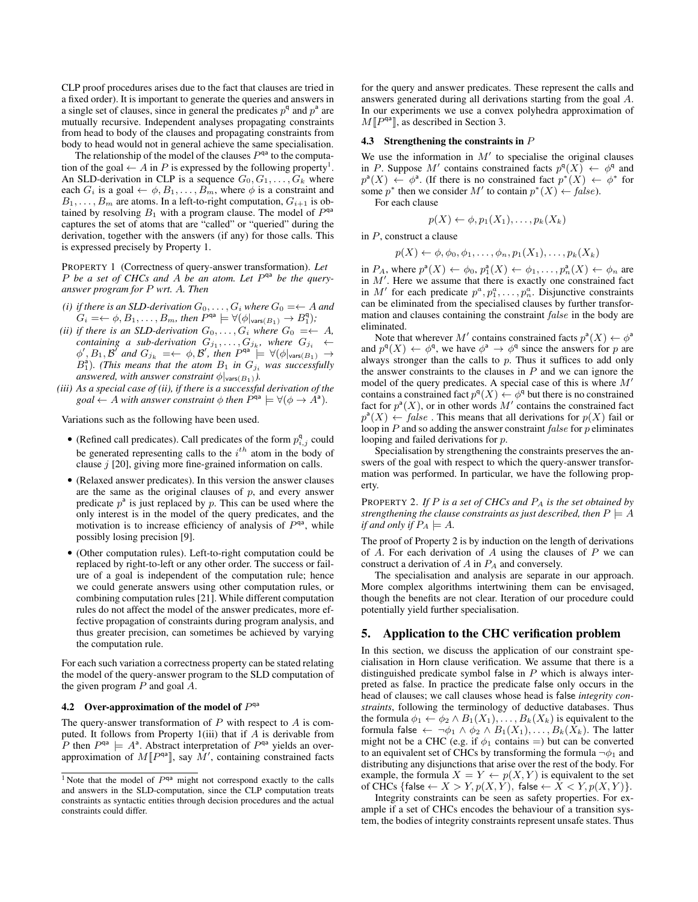CLP proof procedures arises due to the fact that clauses are tried in a fixed order). It is important to generate the queries and answers in a single set of clauses, since in general the predicates  $p^q$  and  $p^a$  are mutually recursive. Independent analyses propagating constraints from head to body of the clauses and propagating constraints from body to head would not in general achieve the same specialisation.

The relationship of the model of the clauses  $P^{qa}$  to the computation of the goal  $\leftarrow A$  in P is expressed by the following property<sup>1</sup>. An SLD-derivation in CLP is a sequence  $G_0, G_1, \ldots, G_k$  where each  $G_i$  is a goal  $\leftarrow \phi, B_1, \ldots, B_m$ , where  $\phi$  is a constraint and  $B_1, \ldots, B_m$  are atoms. In a left-to-right computation,  $G_{i+1}$  is obtained by resolving  $B_1$  with a program clause. The model of  $P^{qa}$ captures the set of atoms that are "called" or "queried" during the derivation, together with the answers (if any) for those calls. This is expressed precisely by Property 1.

PROPERTY 1 (Correctness of query-answer transformation). *Let* P be a set of CHCs and A be an atom. Let P<sup>qa</sup> be the query*answer program for* P *wrt.* A*. Then*

- *(i)* if there is an SLD-derivation  $G_0, \ldots, G_i$  where  $G_0 = \leftarrow A$  and  $G_i = \leftarrow \phi, B_1, \dots, B_m$ , then  $P^{qa} \models \forall (\phi|_{\text{vars}(B_1)} \rightarrow B_1^q);$
- *(ii) if there is an SLD-derivation*  $G_0, \ldots, G_i$  *where*  $G_0 \neq A$ *,*  $\emph{containing a sub-derivation } \emph{ } G_{j_1}, \ldots, G_{j_k}, \emph{ where } \emph{ } G_{j_i} \emph{ } \leftarrow$  $\phi', B_1, \mathcal{B}'$  and  $G_{j_k} \equiv \leftarrow \phi, \mathcal{B}',$  then  $P^{\mathsf{qa}^*} \models \forall (\phi|_{\mathsf{vars}(B_1)} \rightarrow$  $B_1^a$ ). (This means that the atom  $B_1$  in  $G_{j_i}$  was successfully *answered, with answer constraint*  $\phi|_{\text{vars}(B_1)}$ *).*
- *(iii) As a special case of (ii), if there is a successful derivation of the*  $\text{goal} \leftarrow A$  *with answer constraint*  $\phi$  *then*  $P^{\text{qa}} \models \forall (\phi \rightarrow A^{\text{a}})$ *.*

Variations such as the following have been used.

- (Refined call predicates). Call predicates of the form  $p_{i,j}^q$  could be generated representing calls to the  $i^{th}$  atom in the body of clause  $j$  [20], giving more fine-grained information on calls.
- (Relaxed answer predicates). In this version the answer clauses are the same as the original clauses of  $p$ , and every answer predicate  $p^a$  is just replaced by p. This can be used where the only interest is in the model of the query predicates, and the motivation is to increase efficiency of analysis of  $P^{qa}$ , while possibly losing precision [9].
- (Other computation rules). Left-to-right computation could be replaced by right-to-left or any other order. The success or failure of a goal is independent of the computation rule; hence we could generate answers using other computation rules, or combining computation rules [21]. While different computation rules do not affect the model of the answer predicates, more effective propagation of constraints during program analysis, and thus greater precision, can sometimes be achieved by varying the computation rule.

For each such variation a correctness property can be stated relating the model of the query-answer program to the SLD computation of the given program  $P$  and goal  $A$ .

# 4.2 Over-approximation of the model of  $P<sup>qa</sup>$

The query-answer transformation of  $P$  with respect to  $A$  is computed. It follows from Property 1(iii) that if  $A$  is derivable from P then  $P^{qa} \models A^a$ . Abstract interpretation of  $P^{qa}$  yields an overapproximation of  $M[$  $P^{qa}$ ], say  $\hat{M}'$ , containing constrained facts

for the query and answer predicates. These represent the calls and answers generated during all derivations starting from the goal A. In our experiments we use a convex polyhedra approximation of  $M[$  $P^{qa}$ ], as described in Section 3.

#### 4.3 Strengthening the constraints in  $P$

We use the information in  $M'$  to specialise the original clauses in P. Suppose M' contains constrained facts  $p^{\mathsf{q}}(X) \leftarrow \phi^{\mathsf{q}}$  and  $p^{\mathsf{a}}(X) \leftarrow \phi^{\mathsf{a}}$ . (If there is no constrained fact  $p^*(X) \leftarrow \phi^*$  for some  $p^*$  then we consider M' to contain  $p^*(X) \leftarrow false$ .

For each clause

$$
p(X) \leftarrow \phi, p_1(X_1), \ldots, p_k(X_k)
$$

in P, construct a clause

$$
p(X) \leftarrow \phi, \phi_0, \phi_1, \dots, \phi_n, p_1(X_1), \dots, p_k(X_k)
$$

in  $P_A$ , where  $p^{\mathsf{a}}(X) \leftarrow \phi_0$ ,  $p_1^{\mathsf{a}}(X) \leftarrow \phi_1, \ldots, p_n^{\mathsf{a}}(X) \leftarrow \phi_n$  are in  $M'$ . Here we assume that there is exactly one constrained fact in M' for each predicate  $p^a, p_1^a, \ldots, p_n^a$ . Disjunctive constraints can be eliminated from the specialised clauses by further transformation and clauses containing the constraint false in the body are eliminated.

Note that wherever M' contains constrained facts  $p^{\mathsf{a}}(X) \leftarrow \phi^{\mathsf{a}}$ and  $p^{\mathfrak{q}}(X) \leftarrow \phi^{\mathfrak{q}}$ , we have  $\phi^{\mathfrak{a}} \rightarrow \phi^{\mathfrak{q}}$  since the answers for p are always stronger than the calls to  $p$ . Thus it suffices to add only the answer constraints to the clauses in  $P$  and we can ignore the model of the query predicates. A special case of this is where  $M'$ contains a constrained fact  $p^{\mathsf{q}}(X) \leftarrow \phi^{\mathsf{q}}$  but there is no constrained fact for  $p^a(X)$ , or in other words M' contains the constrained fact  $p^{\mathsf{a}}(X) \leftarrow false$ . This means that all derivations for  $p(X)$  fail or loop in  $P$  and so adding the answer constraint  $false$  for  $p$  eliminates looping and failed derivations for p.

Specialisation by strengthening the constraints preserves the answers of the goal with respect to which the query-answer transformation was performed. In particular, we have the following property.

PROPERTY 2. *If* P *is a set of CHCs and* P<sup>A</sup> *is the set obtained by strengthening the clause constraints as just described, then*  $P \models A$ *if and only if*  $P_A \models A$ .

The proof of Property 2 is by induction on the length of derivations of  $A$ . For each derivation of  $A$  using the clauses of  $P$  we can construct a derivation of  $A$  in  $P_A$  and conversely.

The specialisation and analysis are separate in our approach. More complex algorithms intertwining them can be envisaged, though the benefits are not clear. Iteration of our procedure could potentially yield further specialisation.

## 5. Application to the CHC verification problem

In this section, we discuss the application of our constraint specialisation in Horn clause verification. We assume that there is a distinguished predicate symbol false in  $P$  which is always interpreted as false. In practice the predicate false only occurs in the head of clauses; we call clauses whose head is false *integrity constraints*, following the terminology of deductive databases. Thus the formula  $\phi_1 \leftarrow \phi_2 \wedge B_1(X_1), \dots, B_k(X_k)$  is equivalent to the formula false  $\leftarrow \neg \phi_1 \land \phi_2 \land B_1(X_1), \dots, B_k(X_k)$ . The latter might not be a CHC (e.g. if  $\phi_1$  contains =) but can be converted to an equivalent set of CHCs by transforming the formula  $\neg \phi_1$  and distributing any disjunctions that arise over the rest of the body. For example, the formula  $X = Y \leftarrow p(X, Y)$  is equivalent to the set of CHCs {false  $\leftarrow X > Y, p(X, Y)$ , false  $\leftarrow X < Y, p(X, Y)$  }.

Integrity constraints can be seen as safety properties. For example if a set of CHCs encodes the behaviour of a transition system, the bodies of integrity constraints represent unsafe states. Thus

<sup>&</sup>lt;sup>1</sup> Note that the model of  $P^{qa}$  might not correspond exactly to the calls and answers in the SLD-computation, since the CLP computation treats constraints as syntactic entities through decision procedures and the actual constraints could differ.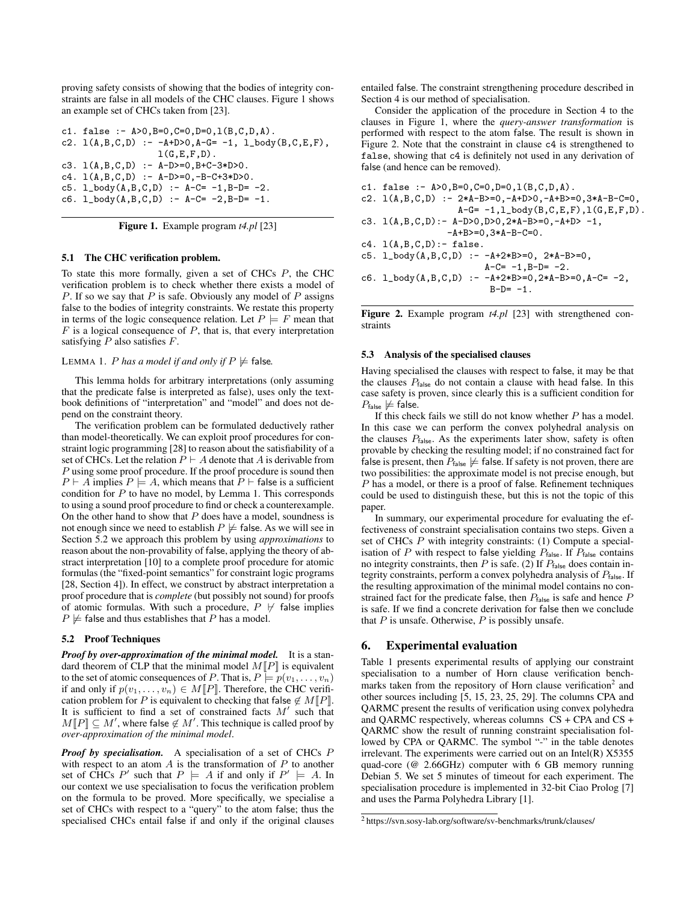proving safety consists of showing that the bodies of integrity constraints are false in all models of the CHC clauses. Figure 1 shows an example set of CHCs taken from [23].

```
c1. false :- A>0,B=0,C=0,D=0,l(B,C,D,A).
c2. l(A,B,C,D) :- -A+D>0, A-G=-1, l\_body(B,C,E,F),
                  l(G,E,F,D).
c3. 1(A, B, C, D) :- A-D>=0, B+C-3*D>0.
c4. l(A,B,C,D) :- A-D>=0, -B-C+3*D>0.
c5. l\_body(A,B,C,D) :- A-C=-1, B-D=-2.
c6. l\_body(A,B,C,D) :- A-C=-2, B-D=-1.
```

|  | Figure 1. Example program t4.pl [23] |  |  |  |
|--|--------------------------------------|--|--|--|
|--|--------------------------------------|--|--|--|

### 5.1 The CHC verification problem.

To state this more formally, given a set of CHCs P, the CHC verification problem is to check whether there exists a model of P. If so we say that P is safe. Obviously any model of P assigns false to the bodies of integrity constraints. We restate this property in terms of the logic consequence relation. Let  $P \models F$  mean that  $F$  is a logical consequence of  $P$ , that is, that every interpretation satisfying  $P$  also satisfies  $F$ .

#### LEMMA 1. *P* has a model if and only if  $P \not\models$  false.

This lemma holds for arbitrary interpretations (only assuming that the predicate false is interpreted as false), uses only the textbook definitions of "interpretation" and "model" and does not depend on the constraint theory.

The verification problem can be formulated deductively rather than model-theoretically. We can exploit proof procedures for constraint logic programming [28] to reason about the satisfiability of a set of CHCs. Let the relation  $P \vdash A$  denote that A is derivable from P using some proof procedure. If the proof procedure is sound then  $P \vdash A$  implies  $P \models A$ , which means that  $P \vdash$  false is a sufficient condition for  $P$  to have no model, by Lemma 1. This corresponds to using a sound proof procedure to find or check a counterexample. On the other hand to show that  $P$  does have a model, soundness is not enough since we need to establish  $P \not\models$  false. As we will see in Section 5.2 we approach this problem by using *approximations* to reason about the non-provability of false, applying the theory of abstract interpretation [10] to a complete proof procedure for atomic formulas (the "fixed-point semantics" for constraint logic programs [28, Section 4]). In effect, we construct by abstract interpretation a proof procedure that is *complete* (but possibly not sound) for proofs of atomic formulas. With such a procedure,  $P \not\vdash f$  false implies  $P \not\models$  false and thus establishes that P has a model.

#### 5.2 Proof Techniques

*Proof by over-approximation of the minimal model.* It is a standard theorem of CLP that the minimal model  $M[\![P]\!]$  is equivalent to the set of atomic consequences of P. That is,  $P \models p(v_1, \ldots, v_n)$ if and only if  $p(v_1, \ldots, v_n) \in M[[P]]$ . Therefore, the CHC verification problem for P is equivalent to checking that false  $\notin M[[P]]$ . It is sufficient to find a set of constrained facts  $M'$  such that  $M[[P]] \subseteq M'$ , where false  $\notin M'$ . This technique is called proof by *over-approximation of the minimal model*.

*Proof by specialisation.* A specialisation of a set of CHCs P with respect to an atom  $A$  is the transformation of  $P$  to another set of CHCs P' such that  $P \models A$  if and only if  $P' \models A$ . In our context we use specialisation to focus the verification problem on the formula to be proved. More specifically, we specialise a set of CHCs with respect to a "query" to the atom false; thus the specialised CHCs entail false if and only if the original clauses entailed false. The constraint strengthening procedure described in Section 4 is our method of specialisation.

Consider the application of the procedure in Section 4 to the clauses in Figure 1, where the *query-answer transformation* is performed with respect to the atom false. The result is shown in Figure 2. Note that the constraint in clause c4 is strengthened to false, showing that c4 is definitely not used in any derivation of false (and hence can be removed).

- c1. false :- A>0,B=0,C=0,D=0,l(B,C,D,A).
- c2.  $1(A,B,C,D)$  :-  $2*A-B>=0,-A+D>0,-A+B>=0,3*A-B-C=0,$  $A-G=-1,1\_body(B,C,E,F),1(G,E,F,D)$ . c3.  $1(A,B,C,D):$  - A-D>0, D>0, 2\*A-B>=0, -A+D> -1,  $-A+B>=0,3*A-B-C=0.$ c4.  $l(A,B,C,D):$ - false. c5. l\_body( $A,B,C,D$ ) :- -A+2\*B>=0, 2\*A-B>=0,
- $A-C=-1$ ,  $B-D=-2$ . c6. l\_body(A,B,C,D) :- -A+2\*B>=0,2\*A-B>=0,A-C= -2,  $B-D=-1$ .

Figure 2. Example program  $t4$ .pl [23] with strengthened constraints

#### 5.3 Analysis of the specialised clauses

Having specialised the clauses with respect to false, it may be that the clauses  $P_{\text{false}}$  do not contain a clause with head false. In this case safety is proven, since clearly this is a sufficient condition for  $P_{\text{false}} \not\models$  false.

If this check fails we still do not know whether  $P$  has a model. In this case we can perform the convex polyhedral analysis on the clauses  $P_{\text{false}}$ . As the experiments later show, safety is often provable by checking the resulting model; if no constrained fact for false is present, then  $P_{\text{false}} \not\models$  false. If safety is not proven, there are two possibilities: the approximate model is not precise enough, but P has a model, or there is a proof of false. Refinement techniques could be used to distinguish these, but this is not the topic of this paper.

In summary, our experimental procedure for evaluating the effectiveness of constraint specialisation contains two steps. Given a set of CHCs P with integrity constraints: (1) Compute a specialisation of P with respect to false yielding  $P_{\text{false}}$ . If  $P_{\text{false}}$  contains no integrity constraints, then  $P$  is safe. (2) If  $P_{\text{false}}$  does contain integrity constraints, perform a convex polyhedra analysis of  $P_{\text{false}}$ . If the resulting approximation of the minimal model contains no constrained fact for the predicate false, then  $P_{\text{false}}$  is safe and hence P is safe. If we find a concrete derivation for false then we conclude that  $P$  is unsafe. Otherwise,  $P$  is possibly unsafe.

## 6. Experimental evaluation

Table 1 presents experimental results of applying our constraint specialisation to a number of Horn clause verification benchmarks taken from the repository of Horn clause verification<sup>2</sup> and other sources including [5, 15, 23, 25, 29]. The columns CPA and QARMC present the results of verification using convex polyhedra and QARMC respectively, whereas columns CS + CPA and CS + QARMC show the result of running constraint specialisation followed by CPA or QARMC. The symbol "-" in the table denotes irrelevant. The experiments were carried out on an Intel(R) X5355 quad-core (@ 2.66GHz) computer with 6 GB memory running Debian 5. We set 5 minutes of timeout for each experiment. The specialisation procedure is implemented in 32-bit Ciao Prolog [7] and uses the Parma Polyhedra Library [1].

<sup>2</sup> https://svn.sosy-lab.org/software/sv-benchmarks/trunk/clauses/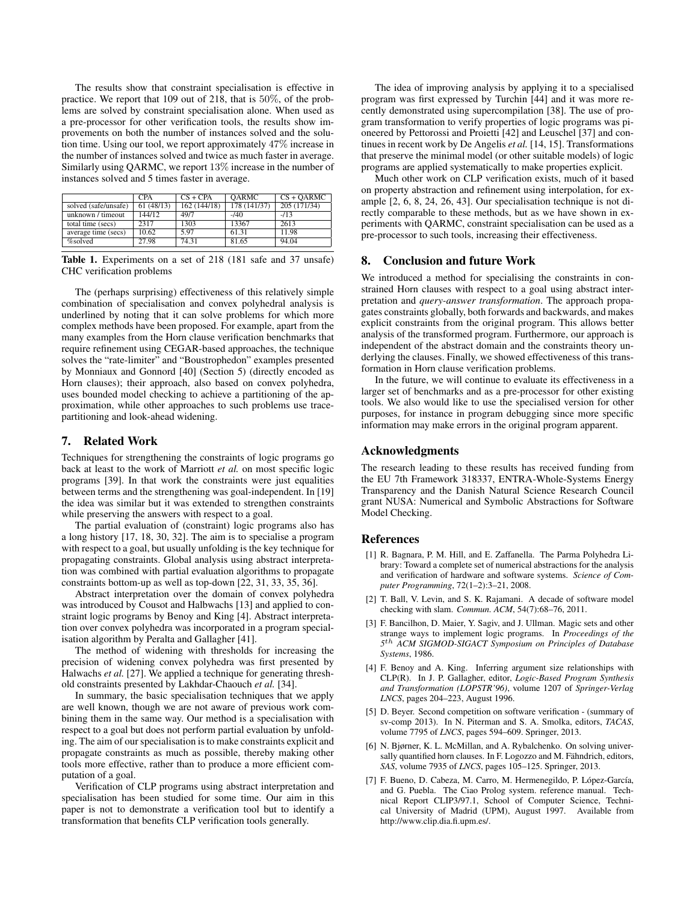The results show that constraint specialisation is effective in practice. We report that 109 out of 218, that is 50%, of the problems are solved by constraint specialisation alone. When used as a pre-processor for other verification tools, the results show improvements on both the number of instances solved and the solution time. Using our tool, we report approximately 47% increase in the number of instances solved and twice as much faster in average. Similarly using QARMC, we report 13% increase in the number of instances solved and 5 times faster in average.

|                      | <b>CPA</b> | $CS + CPA$  | <b>OARMC</b> | $CS + OARMC$ |
|----------------------|------------|-------------|--------------|--------------|
| solved (safe/unsafe) | 61(48/13)  | 162(144/18) | 178(141/37)  | 205(171/34)  |
| unknown / timeout    | 144/12     | 49/7        | $-140$       | $-113$       |
| total time (secs)    | 2317       | 1303        | 13367        | 2613         |
| average time (secs)  | 10.62      | 597         | 61.31        | 11.98        |
| %solved              | 27.98      | 74.31       | 81.65        | 94.04        |

Table 1. Experiments on a set of 218 (181 safe and 37 unsafe) CHC verification problems

The (perhaps surprising) effectiveness of this relatively simple combination of specialisation and convex polyhedral analysis is underlined by noting that it can solve problems for which more complex methods have been proposed. For example, apart from the many examples from the Horn clause verification benchmarks that require refinement using CEGAR-based approaches, the technique solves the "rate-limiter" and "Boustrophedon" examples presented by Monniaux and Gonnord [40] (Section 5) (directly encoded as Horn clauses); their approach, also based on convex polyhedra, uses bounded model checking to achieve a partitioning of the approximation, while other approaches to such problems use tracepartitioning and look-ahead widening.

# 7. Related Work

Techniques for strengthening the constraints of logic programs go back at least to the work of Marriott *et al.* on most specific logic programs [39]. In that work the constraints were just equalities between terms and the strengthening was goal-independent. In [19] the idea was similar but it was extended to strengthen constraints while preserving the answers with respect to a goal.

The partial evaluation of (constraint) logic programs also has a long history [17, 18, 30, 32]. The aim is to specialise a program with respect to a goal, but usually unfolding is the key technique for propagating constraints. Global analysis using abstract interpretation was combined with partial evaluation algorithms to propagate constraints bottom-up as well as top-down [22, 31, 33, 35, 36].

Abstract interpretation over the domain of convex polyhedra was introduced by Cousot and Halbwachs [13] and applied to constraint logic programs by Benoy and King [4]. Abstract interpretation over convex polyhedra was incorporated in a program specialisation algorithm by Peralta and Gallagher [41].

The method of widening with thresholds for increasing the precision of widening convex polyhedra was first presented by Halwachs *et al.* [27]. We applied a technique for generating threshold constraints presented by Lakhdar-Chaouch *et al.* [34].

In summary, the basic specialisation techniques that we apply are well known, though we are not aware of previous work combining them in the same way. Our method is a specialisation with respect to a goal but does not perform partial evaluation by unfolding. The aim of our specialisation is to make constraints explicit and propagate constraints as much as possible, thereby making other tools more effective, rather than to produce a more efficient computation of a goal.

Verification of CLP programs using abstract interpretation and specialisation has been studied for some time. Our aim in this paper is not to demonstrate a verification tool but to identify a transformation that benefits CLP verification tools generally.

The idea of improving analysis by applying it to a specialised program was first expressed by Turchin [44] and it was more recently demonstrated using supercompilation [38]. The use of program transformation to verify properties of logic programs was pioneered by Pettorossi and Proietti [42] and Leuschel [37] and continues in recent work by De Angelis *et al.* [14, 15]. Transformations that preserve the minimal model (or other suitable models) of logic programs are applied systematically to make properties explicit.

Much other work on CLP verification exists, much of it based on property abstraction and refinement using interpolation, for example [2, 6, 8, 24, 26, 43]. Our specialisation technique is not directly comparable to these methods, but as we have shown in experiments with QARMC, constraint specialisation can be used as a pre-processor to such tools, increasing their effectiveness.

## 8. Conclusion and future Work

We introduced a method for specialising the constraints in constrained Horn clauses with respect to a goal using abstract interpretation and *query-answer transformation*. The approach propagates constraints globally, both forwards and backwards, and makes explicit constraints from the original program. This allows better analysis of the transformed program. Furthermore, our approach is independent of the abstract domain and the constraints theory underlying the clauses. Finally, we showed effectiveness of this transformation in Horn clause verification problems.

In the future, we will continue to evaluate its effectiveness in a larger set of benchmarks and as a pre-processor for other existing tools. We also would like to use the specialised version for other purposes, for instance in program debugging since more specific information may make errors in the original program apparent.

# Acknowledgments

The research leading to these results has received funding from the EU 7th Framework 318337, ENTRA-Whole-Systems Energy Transparency and the Danish Natural Science Research Council grant NUSA: Numerical and Symbolic Abstractions for Software Model Checking.

## References

- [1] R. Bagnara, P. M. Hill, and E. Zaffanella. The Parma Polyhedra Library: Toward a complete set of numerical abstractions for the analysis and verification of hardware and software systems. *Science of Computer Programming*, 72(1–2):3–21, 2008.
- [2] T. Ball, V. Levin, and S. K. Rajamani. A decade of software model checking with slam. *Commun. ACM*, 54(7):68–76, 2011.
- [3] F. Bancilhon, D. Maier, Y. Sagiv, and J. Ullman. Magic sets and other strange ways to implement logic programs. In *Proceedings of the 5* th *ACM SIGMOD-SIGACT Symposium on Principles of Database Systems*, 1986.
- [4] F. Benoy and A. King. Inferring argument size relationships with CLP(R). In J. P. Gallagher, editor, *Logic-Based Program Synthesis and Transformation (LOPSTR'96)*, volume 1207 of *Springer-Verlag LNCS*, pages 204–223, August 1996.
- [5] D. Beyer. Second competition on software verification (summary of sv-comp 2013). In N. Piterman and S. A. Smolka, editors, *TACAS*, volume 7795 of *LNCS*, pages 594–609. Springer, 2013.
- [6] N. Bjørner, K. L. McMillan, and A. Rybalchenko. On solving universally quantified horn clauses. In F. Logozzo and M. Fähndrich, editors, *SAS*, volume 7935 of *LNCS*, pages 105–125. Springer, 2013.
- [7] F. Bueno, D. Cabeza, M. Carro, M. Hermenegildo, P. López-García, and G. Puebla. The Ciao Prolog system. reference manual. Technical Report CLIP3/97.1, School of Computer Science, Technical University of Madrid (UPM), August 1997. Available from http://www.clip.dia.fi.upm.es/.